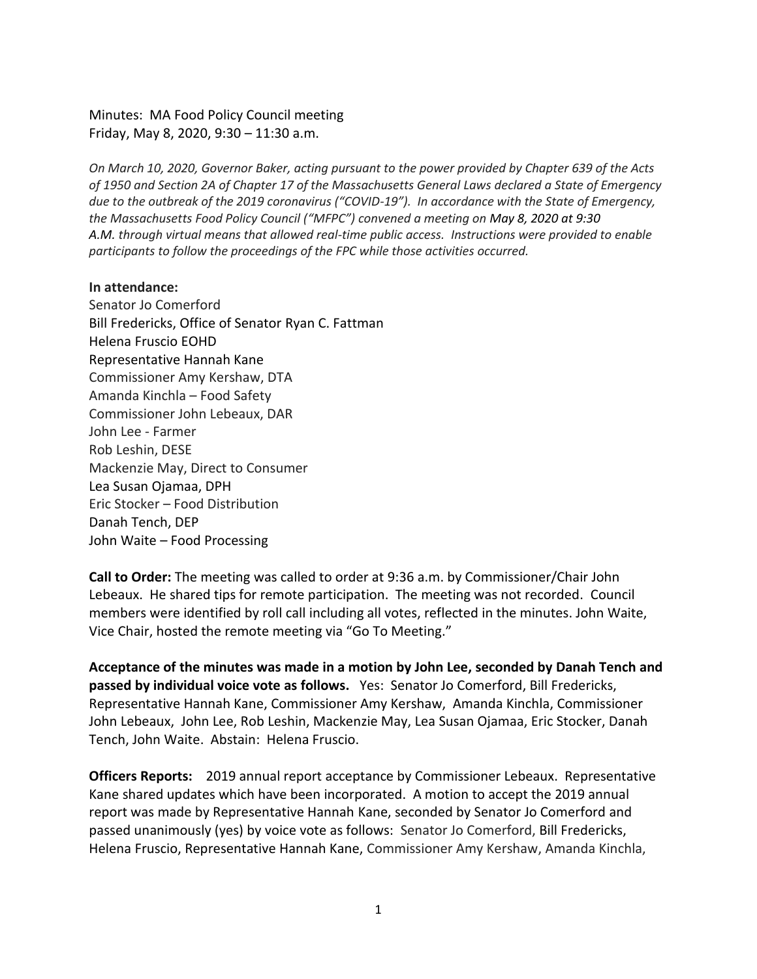Minutes: MA Food Policy Council meeting Friday, May 8, 2020, 9:30 – 11:30 a.m.

*On March 10, 2020, Governor Baker, acting pursuant to the power provided by Chapter 639 of the Acts of 1950 and Section 2A of Chapter 17 of the Massachusetts General Laws declared a State of Emergency due to the outbreak of the 2019 coronavirus ("COVID-19"). In accordance with the State of Emergency, the Massachusetts Food Policy Council ("MFPC") convened a meeting on May 8, 2020 at 9:30 A.M. through virtual means that allowed real-time public access. Instructions were provided to enable participants to follow the proceedings of the FPC while those activities occurred.* 

### **In attendance:**

Senator Jo Comerford Bill Fredericks, Office of Senator Ryan C. Fattman Helena Fruscio EOHD Representative Hannah Kane Commissioner Amy Kershaw, DTA Amanda Kinchla – Food Safety Commissioner John Lebeaux, DAR John Lee - Farmer Rob Leshin, DESE Mackenzie May, Direct to Consumer Lea Susan Ojamaa, DPH Eric Stocker – Food Distribution Danah Tench, DEP John Waite – Food Processing

**Call to Order:** The meeting was called to order at 9:36 a.m. by Commissioner/Chair John Lebeaux. He shared tips for remote participation. The meeting was not recorded. Council members were identified by roll call including all votes, reflected in the minutes. John Waite, Vice Chair, hosted the remote meeting via "Go To Meeting."

**Acceptance of the minutes was made in a motion by John Lee, seconded by Danah Tench and passed by individual voice vote as follows.** Yes: Senator Jo Comerford, Bill Fredericks, Representative Hannah Kane, Commissioner Amy Kershaw, Amanda Kinchla, Commissioner John Lebeaux, John Lee, Rob Leshin, Mackenzie May, Lea Susan Ojamaa, Eric Stocker, Danah Tench, John Waite. Abstain: Helena Fruscio.

**Officers Reports:** 2019 annual report acceptance by Commissioner Lebeaux. Representative Kane shared updates which have been incorporated. A motion to accept the 2019 annual report was made by Representative Hannah Kane, seconded by Senator Jo Comerford and passed unanimously (yes) by voice vote as follows: Senator Jo Comerford, Bill Fredericks, Helena Fruscio, Representative Hannah Kane, Commissioner Amy Kershaw, Amanda Kinchla,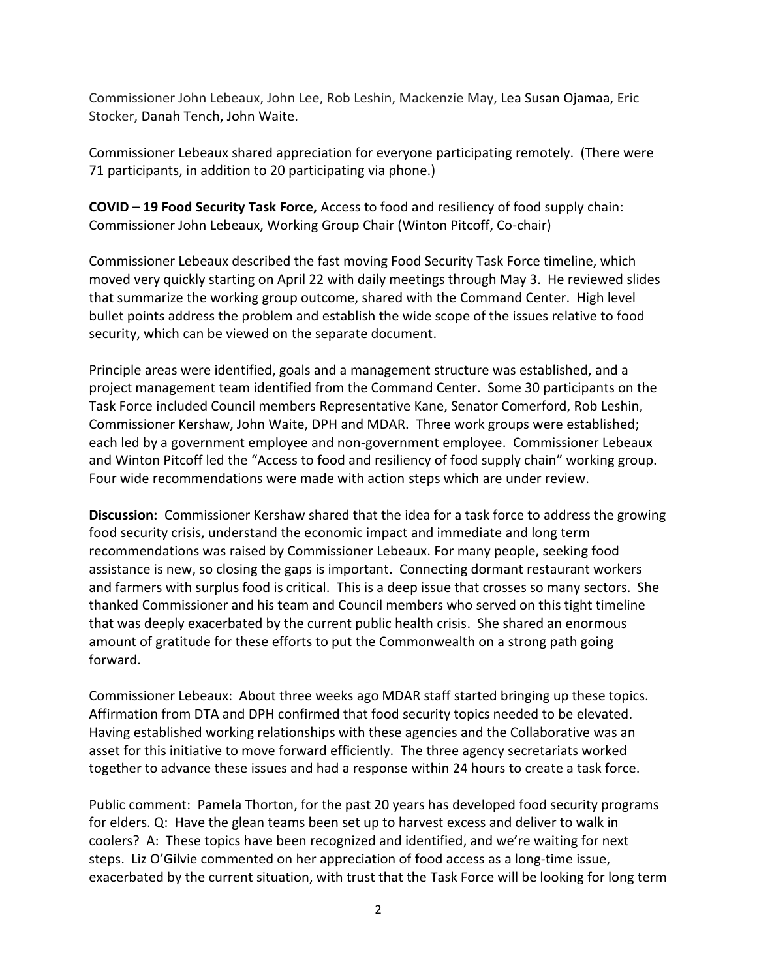Commissioner John Lebeaux, John Lee, Rob Leshin, Mackenzie May, Lea Susan Ojamaa, Eric Stocker, Danah Tench, John Waite.

Commissioner Lebeaux shared appreciation for everyone participating remotely. (There were 71 participants, in addition to 20 participating via phone.)

**COVID – 19 Food Security Task Force,** Access to food and resiliency of food supply chain: Commissioner John Lebeaux, Working Group Chair (Winton Pitcoff, Co-chair)

Commissioner Lebeaux described the fast moving Food Security Task Force timeline, which moved very quickly starting on April 22 with daily meetings through May 3. He reviewed slides that summarize the working group outcome, shared with the Command Center. High level bullet points address the problem and establish the wide scope of the issues relative to food security, which can be viewed on the separate document.

Principle areas were identified, goals and a management structure was established, and a project management team identified from the Command Center. Some 30 participants on the Task Force included Council members Representative Kane, Senator Comerford, Rob Leshin, Commissioner Kershaw, John Waite, DPH and MDAR. Three work groups were established; each led by a government employee and non-government employee. Commissioner Lebeaux and Winton Pitcoff led the "Access to food and resiliency of food supply chain" working group. Four wide recommendations were made with action steps which are under review.

**Discussion:** Commissioner Kershaw shared that the idea for a task force to address the growing food security crisis, understand the economic impact and immediate and long term recommendations was raised by Commissioner Lebeaux. For many people, seeking food assistance is new, so closing the gaps is important. Connecting dormant restaurant workers and farmers with surplus food is critical. This is a deep issue that crosses so many sectors. She thanked Commissioner and his team and Council members who served on this tight timeline that was deeply exacerbated by the current public health crisis. She shared an enormous amount of gratitude for these efforts to put the Commonwealth on a strong path going forward.

Commissioner Lebeaux: About three weeks ago MDAR staff started bringing up these topics. Affirmation from DTA and DPH confirmed that food security topics needed to be elevated. Having established working relationships with these agencies and the Collaborative was an asset for this initiative to move forward efficiently. The three agency secretariats worked together to advance these issues and had a response within 24 hours to create a task force.

Public comment: Pamela Thorton, for the past 20 years has developed food security programs for elders. Q: Have the glean teams been set up to harvest excess and deliver to walk in coolers? A: These topics have been recognized and identified, and we're waiting for next steps. Liz O'Gilvie commented on her appreciation of food access as a long-time issue, exacerbated by the current situation, with trust that the Task Force will be looking for long term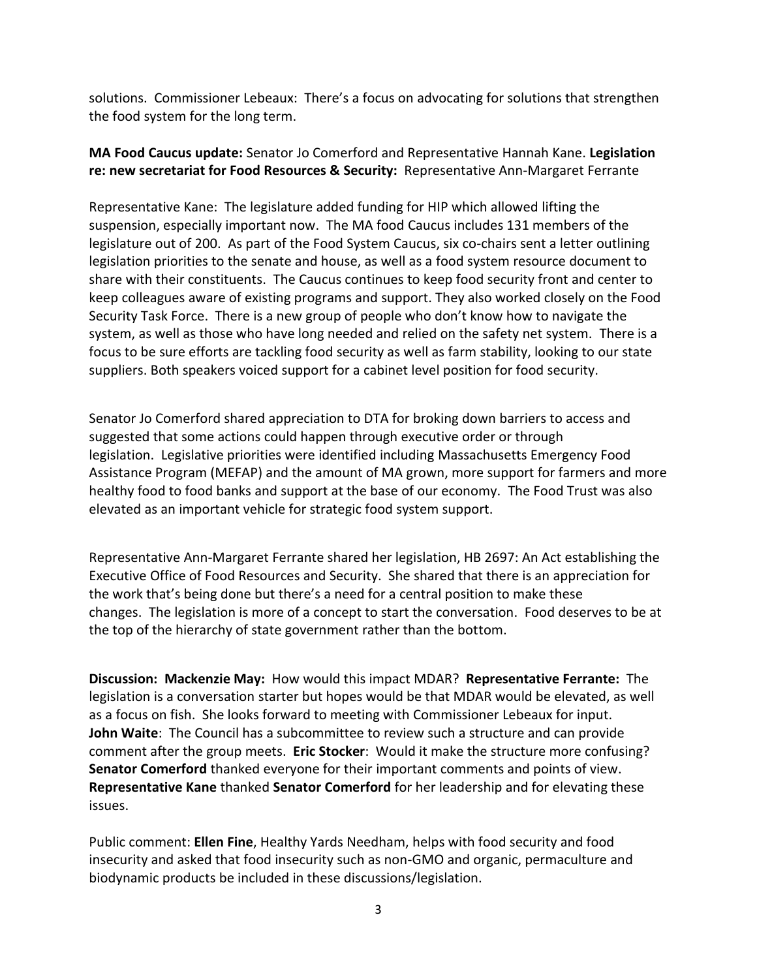solutions. Commissioner Lebeaux: There's a focus on advocating for solutions that strengthen the food system for the long term.

# **MA Food Caucus update:** Senator Jo Comerford and Representative Hannah Kane. **Legislation re: new secretariat for Food Resources & Security:** Representative Ann-Margaret Ferrante

Representative Kane: The legislature added funding for HIP which allowed lifting the suspension, especially important now. The MA food Caucus includes 131 members of the legislature out of 200. As part of the Food System Caucus, six co-chairs sent a letter outlining legislation priorities to the senate and house, as well as a food system resource document to share with their constituents. The Caucus continues to keep food security front and center to keep colleagues aware of existing programs and support. They also worked closely on the Food Security Task Force. There is a new group of people who don't know how to navigate the system, as well as those who have long needed and relied on the safety net system. There is a focus to be sure efforts are tackling food security as well as farm stability, looking to our state suppliers. Both speakers voiced support for a cabinet level position for food security.

Senator Jo Comerford shared appreciation to DTA for broking down barriers to access and suggested that some actions could happen through executive order or through legislation. Legislative priorities were identified including Massachusetts Emergency Food Assistance Program (MEFAP) and the amount of MA grown, more support for farmers and more healthy food to food banks and support at the base of our economy. The Food Trust was also elevated as an important vehicle for strategic food system support.

Representative Ann-Margaret Ferrante shared her legislation, HB 2697: An Act establishing the Executive Office of Food Resources and Security. She shared that there is an appreciation for the work that's being done but there's a need for a central position to make these changes. The legislation is more of a concept to start the conversation. Food deserves to be at the top of the hierarchy of state government rather than the bottom.

**Discussion: Mackenzie May:** How would this impact MDAR? **Representative Ferrante:** The legislation is a conversation starter but hopes would be that MDAR would be elevated, as well as a focus on fish. She looks forward to meeting with Commissioner Lebeaux for input. **John Waite**: The Council has a subcommittee to review such a structure and can provide comment after the group meets. **Eric Stocker**: Would it make the structure more confusing? **Senator Comerford** thanked everyone for their important comments and points of view. **Representative Kane** thanked **Senator Comerford** for her leadership and for elevating these issues.

Public comment: **Ellen Fine**, Healthy Yards Needham, helps with food security and food insecurity and asked that food insecurity such as non-GMO and organic, permaculture and biodynamic products be included in these discussions/legislation.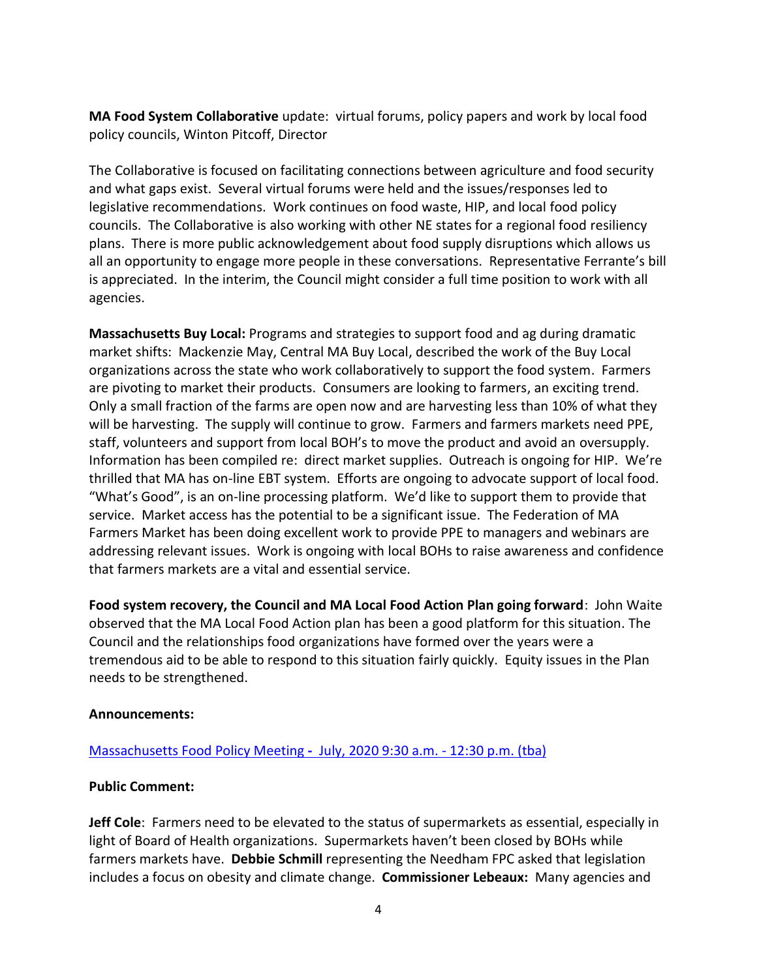**MA Food System Collaborative** update: virtual forums, policy papers and work by local food policy councils, Winton Pitcoff, Director

The Collaborative is focused on facilitating connections between agriculture and food security and what gaps exist. Several virtual forums were held and the issues/responses led to legislative recommendations. Work continues on food waste, HIP, and local food policy councils. The Collaborative is also working with other NE states for a regional food resiliency plans. There is more public acknowledgement about food supply disruptions which allows us all an opportunity to engage more people in these conversations. Representative Ferrante's bill is appreciated. In the interim, the Council might consider a full time position to work with all agencies.

**Massachusetts Buy Local:** Programs and strategies to support food and ag during dramatic market shifts: Mackenzie May, Central MA Buy Local, described the work of the Buy Local organizations across the state who work collaboratively to support the food system. Farmers are pivoting to market their products. Consumers are looking to farmers, an exciting trend. Only a small fraction of the farms are open now and are harvesting less than 10% of what they will be harvesting. The supply will continue to grow. Farmers and farmers markets need PPE, staff, volunteers and support from local BOH's to move the product and avoid an oversupply. Information has been compiled re: direct market supplies. Outreach is ongoing for HIP. We're thrilled that MA has on-line EBT system. Efforts are ongoing to advocate support of local food. "What's Good", is an on-line processing platform. We'd like to support them to provide that service. Market access has the potential to be a significant issue. The Federation of MA Farmers Market has been doing excellent work to provide PPE to managers and webinars are addressing relevant issues. Work is ongoing with local BOHs to raise awareness and confidence that farmers markets are a vital and essential service.

**Food system recovery, the Council and MA Local Food Action Plan going forward**: John Waite observed that the MA Local Food Action plan has been a good platform for this situation. The Council and the relationships food organizations have formed over the years were a tremendous aid to be able to respond to this situation fairly quickly. Equity issues in the Plan needs to be strengthened.

### **Announcements:**

## [Massachusetts Food Policy Meeting](https://www.mass.gov/event/massachusetts-food-policy-meeting-13120-2020-01-31t093000-0500-2020-01-31t123000-0500) **-** July, 2020 9:30 a.m. - 12:30 p.m. (tba)

### **Public Comment:**

**Jeff Cole**: Farmers need to be elevated to the status of supermarkets as essential, especially in light of Board of Health organizations. Supermarkets haven't been closed by BOHs while farmers markets have. **Debbie Schmill** representing the Needham FPC asked that legislation includes a focus on obesity and climate change. **Commissioner Lebeaux:** Many agencies and